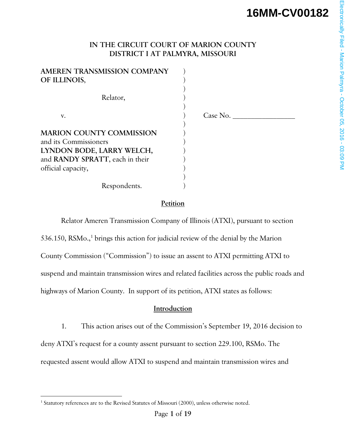# **IN THE CIRCUIT COURT OF MARION COUNTY DISTRICT I AT PALMYRA, MISSOURI**

| AMEREN TRANSMISSION COMPANY     |          |
|---------------------------------|----------|
| OF ILLINOIS,                    |          |
|                                 |          |
| Relator,                        |          |
|                                 |          |
| v.                              | Case No. |
|                                 |          |
| <b>MARION COUNTY COMMISSION</b> |          |
| and its Commissioners           |          |
| LYNDON BODE, LARRY WELCH,       |          |
| and RANDY SPRATT, each in their |          |
| official capacity,              |          |
|                                 |          |
| Respondents.                    |          |

# **Petition**

Relator Ameren Transmission Company of Illinois (ATXI), pursuant to section 536.150, RSMo.,<sup>1</sup> brings this action for judicial review of the denial by the Marion County Commission ("Commission") to issue an assent to ATXI permitting ATXI to suspend and maintain transmission wires and related facilities across the public roads and highways of Marion County. In support of its petition, ATXI states as follows:

# **Introduction**

1. This action arises out of the Commission's September 19, 2016 decision to deny ATXI's request for a county assent pursuant to section 229.100, RSMo. The requested assent would allow ATXI to suspend and maintain transmission wires and

 $\overline{a}$ 

<sup>&</sup>lt;sup>1</sup> Statutory references are to the Revised Statutes of Missouri (2000), unless otherwise noted.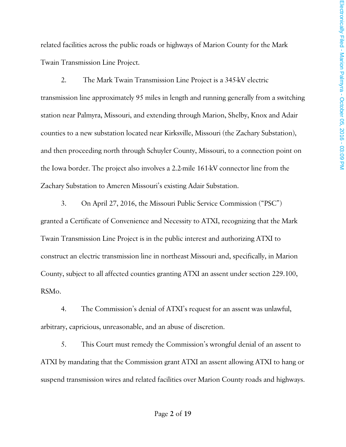related facilities across the public roads or highways of Marion County for the Mark Twain Transmission Line Project.

 2. The Mark Twain Transmission Line Project is a 345-kV electric transmission line approximately 95 miles in length and running generally from a switching station near Palmyra, Missouri, and extending through Marion, Shelby, Knox and Adair counties to a new substation located near Kirksville, Missouri (the Zachary Substation), and then proceeding north through Schuyler County, Missouri, to a connection point on the Iowa border. The project also involves a 2.2-mile 161-kV connector line from the Zachary Substation to Ameren Missouri's existing Adair Substation.

 3. On April 27, 2016, the Missouri Public Service Commission ("PSC") granted a Certificate of Convenience and Necessity to ATXI, recognizing that the Mark Twain Transmission Line Project is in the public interest and authorizing ATXI to construct an electric transmission line in northeast Missouri and, specifically, in Marion County, subject to all affected counties granting ATXI an assent under section 229.100, RSMo.

 4. The Commission's denial of ATXI's request for an assent was unlawful, arbitrary, capricious, unreasonable, and an abuse of discretion.

 5. This Court must remedy the Commission's wrongful denial of an assent to ATXI by mandating that the Commission grant ATXI an assent allowing ATXI to hang or suspend transmission wires and related facilities over Marion County roads and highways.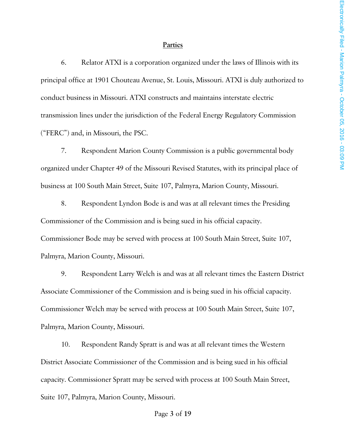#### **Parties**

6. Relator ATXI is a corporation organized under the laws of Illinois with its principal office at 1901 Chouteau Avenue, St. Louis, Missouri. ATXI is duly authorized to conduct business in Missouri. ATXI constructs and maintains interstate electric transmission lines under the jurisdiction of the Federal Energy Regulatory Commission ("FERC") and, in Missouri, the PSC.

7. Respondent Marion County Commission is a public governmental body organized under Chapter 49 of the Missouri Revised Statutes, with its principal place of business at 100 South Main Street, Suite 107, Palmyra, Marion County, Missouri.

8. Respondent Lyndon Bode is and was at all relevant times the Presiding Commissioner of the Commission and is being sued in his official capacity. Commissioner Bode may be served with process at 100 South Main Street, Suite 107, Palmyra, Marion County, Missouri.

9. Respondent Larry Welch is and was at all relevant times the Eastern District Associate Commissioner of the Commission and is being sued in his official capacity. Commissioner Welch may be served with process at 100 South Main Street, Suite 107, Palmyra, Marion County, Missouri.

10. Respondent Randy Spratt is and was at all relevant times the Western District Associate Commissioner of the Commission and is being sued in his official capacity. Commissioner Spratt may be served with process at 100 South Main Street, Suite 107, Palmyra, Marion County, Missouri.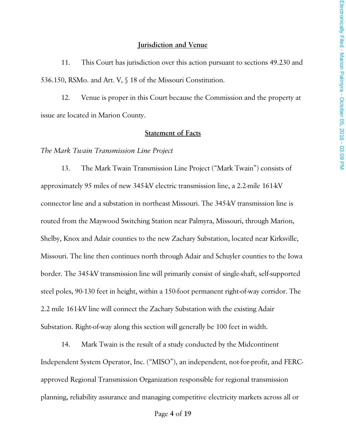#### **Jurisdiction and Venue**

 11. This Court has jurisdiction over this action pursuant to sections 49.230 and 536.150, RSMo. and Art. V, § 18 of the Missouri Constitution.

 12. Venue is proper in this Court because the Commission and the property at issue are located in Marion County.

#### **Statement of Facts**

*The Mark Twain Transmission Line Project*

 13. The Mark Twain Transmission Line Project ("Mark Twain") consists of approximately 95 miles of new 345-kV electric transmission line, a 2.2-mile 161-kV connector line and a substation in northeast Missouri. The 345-kV transmission line is routed from the Maywood Switching Station near Palmyra, Missouri, through Marion, Shelby, Knox and Adair counties to the new Zachary Substation, located near Kirksville, Missouri. The line then continues north through Adair and Schuyler counties to the Iowa border. The 345-kV transmission line will primarily consist of single-shaft, self-supported steel poles, 90-130 feet in height, within a 150-foot permanent right-of-way corridor. The 2.2 mile 161-kV line will connect the Zachary Substation with the existing Adair Substation. Right-of-way along this section will generally be 100 feet in width.

 14. Mark Twain is the result of a study conducted by the Midcontinent Independent System Operator, Inc. ("MISO"), an independent, not-for-profit, and FERCapproved Regional Transmission Organization responsible for regional transmission planning, reliability assurance and managing competitive electricity markets across all or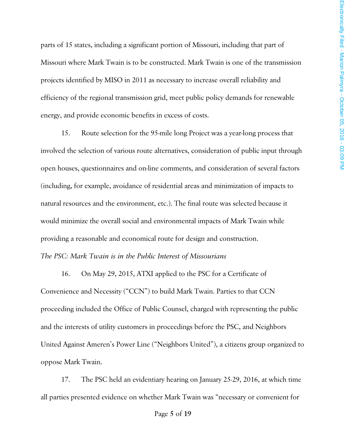parts of 15 states, including a significant portion of Missouri, including that part of Missouri where Mark Twain is to be constructed. Mark Twain is one of the transmission projects identified by MISO in 2011 as necessary to increase overall reliability and efficiency of the regional transmission grid, meet public policy demands for renewable energy, and provide economic benefits in excess of costs.

 15. Route selection for the 95-mile long Project was a year-long process that involved the selection of various route alternatives, consideration of public input through open houses, questionnaires and on-line comments, and consideration of several factors (including, for example, avoidance of residential areas and minimization of impacts to natural resources and the environment, etc.). The final route was selected because it would minimize the overall social and environmental impacts of Mark Twain while providing a reasonable and economical route for design and construction.

### *The PSC: Mark Twain is in the Public Interest of Missourians*

16. On May 29, 2015, ATXI applied to the PSC for a Certificate of Convenience and Necessity ("CCN") to build Mark Twain. Parties to that CCN proceeding included the Office of Public Counsel, charged with representing the public and the interests of utility customers in proceedings before the PSC, and Neighbors United Against Ameren's Power Line ("Neighbors United"), a citizens group organized to oppose Mark Twain.

17. The PSC held an evidentiary hearing on January 25-29, 2016, at which time all parties presented evidence on whether Mark Twain was "necessary or convenient for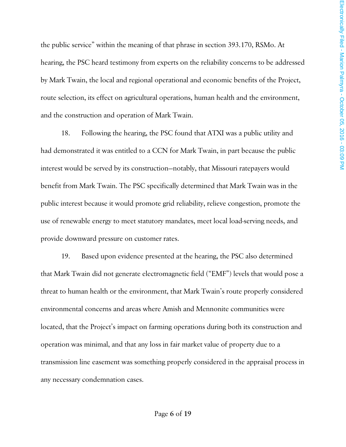the public service" within the meaning of that phrase in section 393.170, RSMo. At hearing, the PSC heard testimony from experts on the reliability concerns to be addressed by Mark Twain, the local and regional operational and economic benefits of the Project, route selection, its effect on agricultural operations, human health and the environment, and the construction and operation of Mark Twain.

 18. Following the hearing, the PSC found that ATXI was a public utility and had demonstrated it was entitled to a CCN for Mark Twain, in part because the public interest would be served by its construction—notably, that Missouri ratepayers would benefit from Mark Twain. The PSC specifically determined that Mark Twain was in the public interest because it would promote grid reliability, relieve congestion, promote the use of renewable energy to meet statutory mandates, meet local load-serving needs, and provide downward pressure on customer rates.

 19. Based upon evidence presented at the hearing, the PSC also determined that Mark Twain did not generate electromagnetic field ("EMF") levels that would pose a threat to human health or the environment, that Mark Twain's route properly considered environmental concerns and areas where Amish and Mennonite communities were located, that the Project's impact on farming operations during both its construction and operation was minimal, and that any loss in fair market value of property due to a transmission line easement was something properly considered in the appraisal process in any necessary condemnation cases.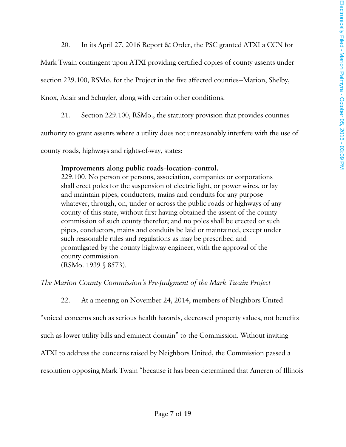20. In its April 27, 2016 Report & Order, the PSC granted ATXI a CCN for

Mark Twain contingent upon ATXI providing certified copies of county assents under

section 229.100, RSMo. for the Project in the five affected counties—Marion, Shelby,

Knox, Adair and Schuyler, along with certain other conditions.

21. Section 229.100, RSMo., the statutory provision that provides counties

authority to grant assents where a utility does not unreasonably interfere with the use of

county roads, highways and rights-of-way, states:

### Improvements along public roads-location-control.

229.100. No person or persons, association, companies or corporations shall erect poles for the suspension of electric light, or power wires, or lay and maintain pipes, conductors, mains and conduits for any purpose whatever, through, on, under or across the public roads or highways of any county of this state, without first having obtained the assent of the county commission of such county therefor; and no poles shall be erected or such pipes, conductors, mains and conduits be laid or maintained, except under such reasonable rules and regulations as may be prescribed and promulgated by the county highway engineer, with the approval of the county commission.

(RSMo. 1939 § 8573).

# *The Marion County Commission's Pre-Judgment of the Mark Twain Project*

22. At a meeting on November 24, 2014, members of Neighbors United

"voiced concerns such as serious health hazards, decreased property values, not benefits

such as lower utility bills and eminent domain" to the Commission. Without inviting

ATXI to address the concerns raised by Neighbors United, the Commission passed a

resolution opposing Mark Twain "because it has been determined that Ameren of Illinois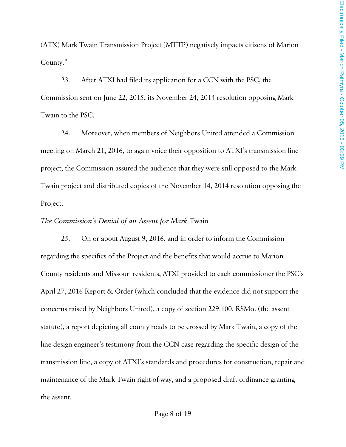(ATX) Mark Twain Transmission Project (MTTP) negatively impacts citizens of Marion County."

23. After ATXI had filed its application for a CCN with the PSC, the Commission sent on June 22, 2015, its November 24, 2014 resolution opposing Mark Twain to the PSC.

24. Moreover, when members of Neighbors United attended a Commission meeting on March 21, 2016, to again voice their opposition to ATXI's transmission line project, the Commission assured the audience that they were still opposed to the Mark Twain project and distributed copies of the November 14, 2014 resolution opposing the Project.

#### *The Commission's Denial of an Assent for Mark* Twain

 25. On or about August 9, 2016, and in order to inform the Commission regarding the specifics of the Project and the benefits that would accrue to Marion County residents and Missouri residents, ATXI provided to each commissioner the PSC's April 27, 2016 Report & Order (which concluded that the evidence did not support the concerns raised by Neighbors United), a copy of section 229.100, RSMo. (the assent statute), a report depicting all county roads to be crossed by Mark Twain, a copy of the line design engineer's testimony from the CCN case regarding the specific design of the transmission line, a copy of ATXI's standards and procedures for construction, repair and maintenance of the Mark Twain right-of-way, and a proposed draft ordinance granting the assent.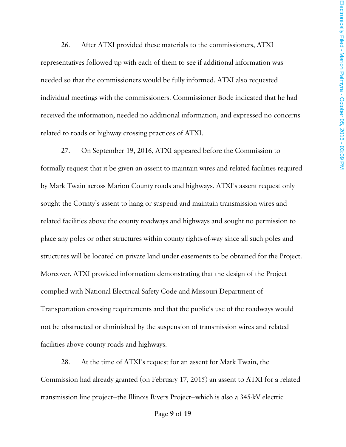26. After ATXI provided these materials to the commissioners, ATXI representatives followed up with each of them to see if additional information was needed so that the commissioners would be fully informed. ATXI also requested individual meetings with the commissioners. Commissioner Bode indicated that he had received the information, needed no additional information, and expressed no concerns related to roads or highway crossing practices of ATXI.

27. On September 19, 2016, ATXI appeared before the Commission to formally request that it be given an assent to maintain wires and related facilities required by Mark Twain across Marion County roads and highways. ATXI's assent request only sought the County's assent to hang or suspend and maintain transmission wires and related facilities above the county roadways and highways and sought no permission to place any poles or other structures within county rights-of-way since all such poles and structures will be located on private land under easements to be obtained for the Project. Moreover, ATXI provided information demonstrating that the design of the Project complied with National Electrical Safety Code and Missouri Department of Transportation crossing requirements and that the public's use of the roadways would not be obstructed or diminished by the suspension of transmission wires and related facilities above county roads and highways.

28. At the time of ATXI's request for an assent for Mark Twain, the Commission had already granted (on February 17, 2015) an assent to ATXI for a related transmission line project—the Illinois Rivers Project—which is also a 345-kV electric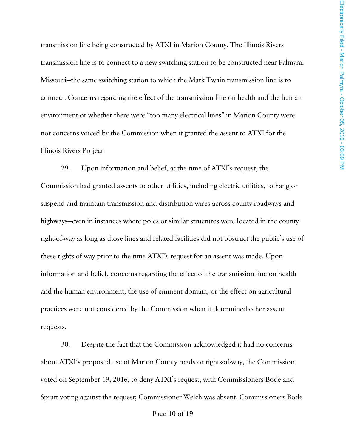transmission line being constructed by ATXI in Marion County. The Illinois Rivers transmission line is to connect to a new switching station to be constructed near Palmyra, Missouri—the same switching station to which the Mark Twain transmission line is to connect. Concerns regarding the effect of the transmission line on health and the human environment or whether there were "too many electrical lines" in Marion County were not concerns voiced by the Commission when it granted the assent to ATXI for the Illinois Rivers Project.

29. Upon information and belief, at the time of ATXI's request, the Commission had granted assents to other utilities, including electric utilities, to hang or suspend and maintain transmission and distribution wires across county roadways and highways—even in instances where poles or similar structures were located in the county right-of-way as long as those lines and related facilities did not obstruct the public's use of these rights-of way prior to the time ATXI's request for an assent was made. Upon information and belief, concerns regarding the effect of the transmission line on health and the human environment, the use of eminent domain, or the effect on agricultural practices were not considered by the Commission when it determined other assent requests.

30. Despite the fact that the Commission acknowledged it had no concerns about ATXI's proposed use of Marion County roads or rights-of-way, the Commission voted on September 19, 2016, to deny ATXI's request, with Commissioners Bode and Spratt voting against the request; Commissioner Welch was absent. Commissioners Bode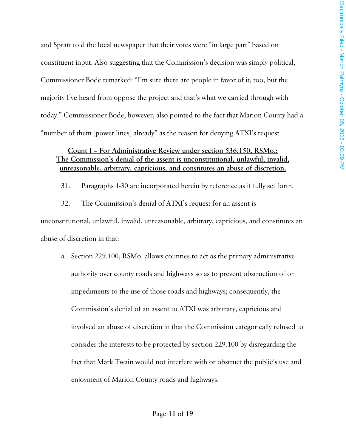and Spratt told the local newspaper that their votes were "in large part" based on constituent input. Also suggesting that the Commission's decision was simply political, Commissioner Bode remarked: "I'm sure there are people in favor of it, too, but the majority I've heard from oppose the project and that's what we carried through with today." Commissioner Bode, however, also pointed to the fact that Marion County had a "number of them [power lines] already" as the reason for denying ATXI's request.

# **Count I – For Administrative Review under section 536.150, RSMo.: The Commission's denial of the assent is unconstitutional, unlawful, invalid, unreasonable, arbitrary, capricious, and constitutes an abuse of discretion.**

31. Paragraphs 1-30 are incorporated herein by reference as if fully set forth.

 32. The Commission's denial of ATXI's request for an assent is unconstitutional, unlawful, invalid, unreasonable, arbitrary, capricious, and constitutes an abuse of discretion in that:

a. Section 229.100, RSMo. allows counties to act as the primary administrative authority over county roads and highways so as to prevent obstruction of or impediments to the use of those roads and highways; consequently, the Commission's denial of an assent to ATXI was arbitrary, capricious and involved an abuse of discretion in that the Commission categorically refused to consider the interests to be protected by section 229.100 by disregarding the fact that Mark Twain would not interfere with or obstruct the public's use and enjoyment of Marion County roads and highways.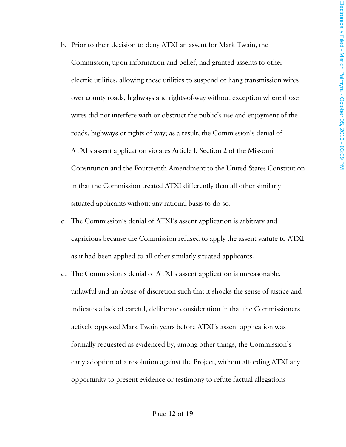- b. Prior to their decision to deny ATXI an assent for Mark Twain, the Commission, upon information and belief, had granted assents to other electric utilities, allowing these utilities to suspend or hang transmission wires over county roads, highways and rights-of-way without exception where those wires did not interfere with or obstruct the public's use and enjoyment of the roads, highways or rights-of way; as a result, the Commission's denial of ATXI's assent application violates Article I, Section 2 of the Missouri Constitution and the Fourteenth Amendment to the United States Constitution in that the Commission treated ATXI differently than all other similarly situated applicants without any rational basis to do so.
- c. The Commission's denial of ATXI's assent application is arbitrary and capricious because the Commission refused to apply the assent statute to ATXI as it had been applied to all other similarly-situated applicants.
- d. The Commission's denial of ATXI's assent application is unreasonable, unlawful and an abuse of discretion such that it shocks the sense of justice and indicates a lack of careful, deliberate consideration in that the Commissioners actively opposed Mark Twain years before ATXI's assent application was formally requested as evidenced by, among other things, the Commission's early adoption of a resolution against the Project, without affording ATXI any opportunity to present evidence or testimony to refute factual allegations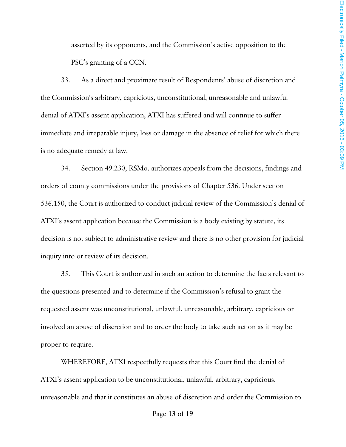asserted by its opponents, and the Commission's active opposition to the PSC's granting of a CCN.

 33. As a direct and proximate result of Respondents' abuse of discretion and the Commission's arbitrary, capricious, unconstitutional, unreasonable and unlawful denial of ATXI's assent application, ATXI has suffered and will continue to suffer immediate and irreparable injury, loss or damage in the absence of relief for which there is no adequate remedy at law.

 34. Section 49.230, RSMo. authorizes appeals from the decisions, findings and orders of county commissions under the provisions of Chapter 536. Under section 536.150, the Court is authorized to conduct judicial review of the Commission's denial of ATXI's assent application because the Commission is a body existing by statute, its decision is not subject to administrative review and there is no other provision for judicial inquiry into or review of its decision.

 35. This Court is authorized in such an action to determine the facts relevant to the questions presented and to determine if the Commission's refusal to grant the requested assent was unconstitutional, unlawful, unreasonable, arbitrary, capricious or involved an abuse of discretion and to order the body to take such action as it may be proper to require.

WHEREFORE, ATXI respectfully requests that this Court find the denial of ATXI's assent application to be unconstitutional, unlawful, arbitrary, capricious, unreasonable and that it constitutes an abuse of discretion and order the Commission to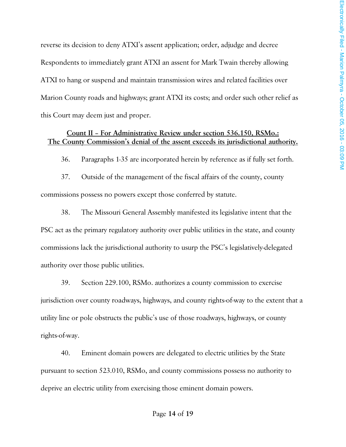reverse its decision to deny ATXI's assent application; order, adjudge and decree Respondents to immediately grant ATXI an assent for Mark Twain thereby allowing ATXI to hang or suspend and maintain transmission wires and related facilities over Marion County roads and highways; grant ATXI its costs; and order such other relief as this Court may deem just and proper.

# **Count II – For Administrative Review under section 536.150, RSMo.: The County Commission's denial of the assent exceeds its jurisdictional authority.**

36. Paragraphs 1-35 are incorporated herein by reference as if fully set forth.

 37. Outside of the management of the fiscal affairs of the county, county commissions possess no powers except those conferred by statute.

 38. The Missouri General Assembly manifested its legislative intent that the PSC act as the primary regulatory authority over public utilities in the state, and county commissions lack the jurisdictional authority to usurp the PSC's legislatively-delegated authority over those public utilities.

 39. Section 229.100, RSMo. authorizes a county commission to exercise jurisdiction over county roadways, highways, and county rights-of-way to the extent that a utility line or pole obstructs the public's use of those roadways, highways, or county rights-of-way.

 40. Eminent domain powers are delegated to electric utilities by the State pursuant to section 523.010, RSMo, and county commissions possess no authority to deprive an electric utility from exercising those eminent domain powers.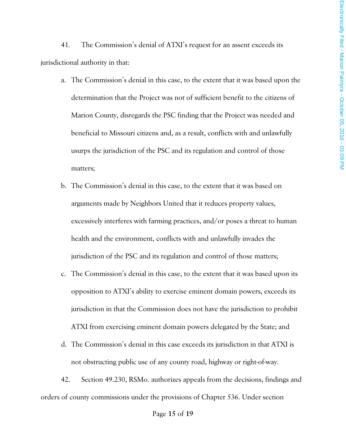41. The Commission's denial of ATXI's request for an assent exceeds its jurisdictional authority in that:

- a. The Commission's denial in this case, to the extent that it was based upon the determination that the Project was not of sufficient benefit to the citizens of Marion County, disregards the PSC finding that the Project was needed and beneficial to Missouri citizens and, as a result, conflicts with and unlawfully usurps the jurisdiction of the PSC and its regulation and control of those matters;
- b. The Commission's denial in this case, to the extent that it was based on arguments made by Neighbors United that it reduces property values, excessively interferes with farming practices, and/or poses a threat to human health and the environment, conflicts with and unlawfully invades the jurisdiction of the PSC and its regulation and control of those matters;
- c. The Commission's denial in this case, to the extent that it was based upon its opposition to ATXI's ability to exercise eminent domain powers, exceeds its jurisdiction in that the Commission does not have the jurisdiction to prohibit ATXI from exercising eminent domain powers delegated by the State; and
- d. The Commission's denial in this case exceeds its jurisdiction in that ATXI is not obstructing public use of any county road, highway or right-of-way.

 42. Section 49.230, RSMo. authorizes appeals from the decisions, findings and orders of county commissions under the provisions of Chapter 536. Under section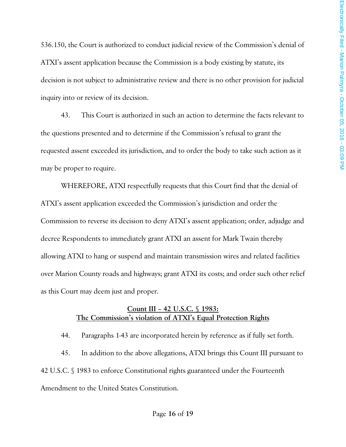536.150, the Court is authorized to conduct judicial review of the Commission's denial of ATXI's assent application because the Commission is a body existing by statute, its decision is not subject to administrative review and there is no other provision for judicial inquiry into or review of its decision.

 43. This Court is authorized in such an action to determine the facts relevant to the questions presented and to determine if the Commission's refusal to grant the requested assent exceeded its jurisdiction, and to order the body to take such action as it may be proper to require.

WHEREFORE, ATXI respectfully requests that this Court find that the denial of ATXI's assent application exceeded the Commission's jurisdiction and order the Commission to reverse its decision to deny ATXI's assent application; order, adjudge and decree Respondents to immediately grant ATXI an assent for Mark Twain thereby allowing ATXI to hang or suspend and maintain transmission wires and related facilities over Marion County roads and highways; grant ATXI its costs; and order such other relief as this Court may deem just and proper.

### **Count III – 42 U.S.C. § 1983: The Commission's violation of ATXI's Equal Protection Rights**

44. Paragraphs 1-43 are incorporated herein by reference as if fully set forth.

 45. In addition to the above allegations, ATXI brings this Count III pursuant to 42 U.S.C. § 1983 to enforce Constitutional rights guaranteed under the Fourteenth Amendment to the United States Constitution.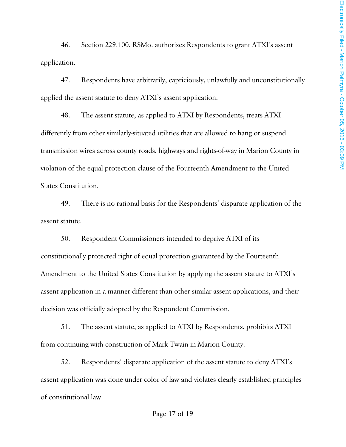46. Section 229.100, RSMo. authorizes Respondents to grant ATXI's assent application.

 47. Respondents have arbitrarily, capriciously, unlawfully and unconstitutionally applied the assent statute to deny ATXI's assent application.

 48. The assent statute, as applied to ATXI by Respondents, treats ATXI differently from other similarly-situated utilities that are allowed to hang or suspend transmission wires across county roads, highways and rights-of-way in Marion County in violation of the equal protection clause of the Fourteenth Amendment to the United States Constitution.

 49. There is no rational basis for the Respondents' disparate application of the assent statute.

 50. Respondent Commissioners intended to deprive ATXI of its constitutionally protected right of equal protection guaranteed by the Fourteenth Amendment to the United States Constitution by applying the assent statute to ATXI's assent application in a manner different than other similar assent applications, and their decision was officially adopted by the Respondent Commission.

 51. The assent statute, as applied to ATXI by Respondents, prohibits ATXI from continuing with construction of Mark Twain in Marion County.

 52. Respondents' disparate application of the assent statute to deny ATXI's assent application was done under color of law and violates clearly established principles of constitutional law.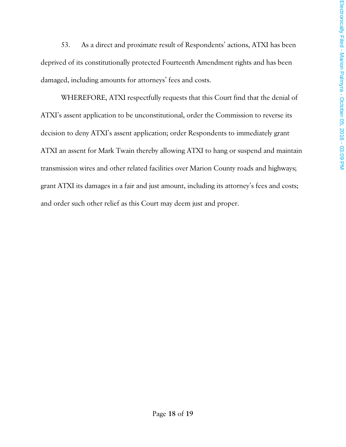53. As a direct and proximate result of Respondents' actions, ATXI has been deprived of its constitutionally protected Fourteenth Amendment rights and has been damaged, including amounts for attorneys' fees and costs.

 WHEREFORE, ATXI respectfully requests that this Court find that the denial of ATXI's assent application to be unconstitutional, order the Commission to reverse its decision to deny ATXI's assent application; order Respondents to immediately grant ATXI an assent for Mark Twain thereby allowing ATXI to hang or suspend and maintain transmission wires and other related facilities over Marion County roads and highways; grant ATXI its damages in a fair and just amount, including its attorney's fees and costs; and order such other relief as this Court may deem just and proper.